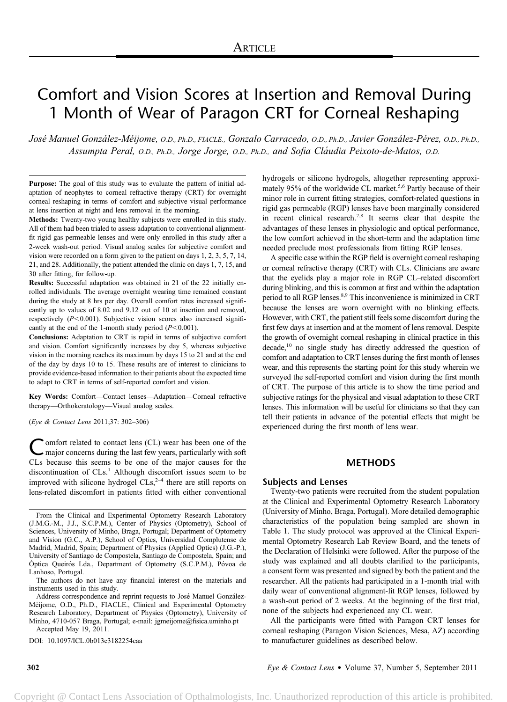# Comfort and Vision Scores at Insertion and Removal During 1 Month of Wear of Paragon CRT for Corneal Reshaping

José Manuel González-Méijome, O.D., Ph.D., FIACLE., Gonzalo Carracedo, O.D., Ph.D., Javier González-Pérez, O.D., Ph.D., Assumpta Peral, O.D., Ph.D., Jorge Jorge, O.D., Ph.D., and Sofia Cláudia Peixoto-de-Matos, O.D.

Purpose: The goal of this study was to evaluate the pattern of initial adaptation of neophytes to corneal refractive therapy (CRT) for overnight corneal reshaping in terms of comfort and subjective visual performance at lens insertion at night and lens removal in the morning.

Methods: Twenty-two young healthy subjects were enrolled in this study. All of them had been trialed to assess adaptation to conventional alignmentfit rigid gas permeable lenses and were only enrolled in this study after a 2-week wash-out period. Visual analog scales for subjective comfort and vision were recorded on a form given to the patient on days 1, 2, 3, 5, 7, 14, 21, and 28. Additionally, the patient attended the clinic on days 1, 7, 15, and 30 after fitting, for follow-up.

Results: Successful adaptation was obtained in 21 of the 22 initially enrolled individuals. The average overnight wearing time remained constant during the study at 8 hrs per day. Overall comfort rates increased significantly up to values of 8.02 and 9.12 out of 10 at insertion and removal, respectively  $(P<0.001)$ . Subjective vision scores also increased significantly at the end of the 1-month study period  $(P<0.001)$ .

Conclusions: Adaptation to CRT is rapid in terms of subjective comfort and vision. Comfort significantly increases by day 5, whereas subjective vision in the morning reaches its maximum by days 15 to 21 and at the end of the day by days 10 to 15. These results are of interest to clinicians to provide evidence-based information to their patients about the expected time to adapt to CRT in terms of self-reported comfort and vision.

Key Words: Comfort—Contact lenses—Adaptation—Corneal refractive therapy—Orthokeratology—Visual analog scales.

(Eye & Contact Lens 2011;37: 302–306)

Comfort related to contact lens (CL) wear has been one of the major concerns during the last few years, particularly with soft CLs because this seems to be one of the major causes for the discontinuation of CLs.<sup>1</sup> Although discomfort issues seem to be improved with silicone hydrogel  $CLs$ ,<sup>2-4</sup> there are still reports on lens-related discomfort in patients fitted with either conventional

The authors do not have any financial interest on the materials and instruments used in this study.

Address correspondence and reprint requests to José Manuel González-Méijome, O.D., Ph.D., FIACLE., Clinical and Experimental Optometry Research Laboratory, Department of Physics (Optometry), University of Minho, 4710-057 Braga, Portugal; e-mail: jgmeijome@fisica.uminho.pt Accepted May 19, 2011.

DOI: 10.1097/ICL.0b013e3182254caa

hydrogels or silicone hydrogels, altogether representing approximately 95% of the worldwide CL market.<sup>5,6</sup> Partly because of their minor role in current fitting strategies, comfort-related questions in rigid gas permeable (RGP) lenses have been marginally considered in recent clinical research.7,8 It seems clear that despite the advantages of these lenses in physiologic and optical performance, the low comfort achieved in the short-term and the adaptation time needed preclude most professionals from fitting RGP lenses.

A specific case within the RGP field is overnight corneal reshaping or corneal refractive therapy (CRT) with CLs. Clinicians are aware that the eyelids play a major role in RGP CL–related discomfort during blinking, and this is common at first and within the adaptation period to all RGP lenses.<sup>8,9</sup> This inconvenience is minimized in CRT because the lenses are worn overnight with no blinking effects. However, with CRT, the patient still feels some discomfort during the first few days at insertion and at the moment of lens removal. Despite the growth of overnight corneal reshaping in clinical practice in this decade,<sup>10</sup> no single study has directly addressed the question of comfort and adaptation to CRT lenses during the first month of lenses wear, and this represents the starting point for this study wherein we surveyed the self-reported comfort and vision during the first month of CRT. The purpose of this article is to show the time period and subjective ratings for the physical and visual adaptation to these CRT lenses. This information will be useful for clinicians so that they can tell their patients in advance of the potential effects that might be experienced during the first month of lens wear.

## METHODS

#### Subjects and Lenses

Twenty-two patients were recruited from the student population at the Clinical and Experimental Optometry Research Laboratory (University of Minho, Braga, Portugal). More detailed demographic characteristics of the population being sampled are shown in Table 1. The study protocol was approved at the Clinical Experimental Optometry Research Lab Review Board, and the tenets of the Declaration of Helsinki were followed. After the purpose of the study was explained and all doubts clarified to the participants, a consent form was presented and signed by both the patient and the researcher. All the patients had participated in a 1-month trial with daily wear of conventional alignment-fit RGP lenses, followed by a wash-out period of 2 weeks. At the beginning of the first trial, none of the subjects had experienced any CL wear.

All the participants were fitted with Paragon CRT lenses for corneal reshaping (Paragon Vision Sciences, Mesa, AZ) according to manufacturer guidelines as described below.

From the Clinical and Experimental Optometry Research Laboratory (J.M.G.-M., J.J., S.C.P.M.), Center of Physics (Optometry), School of Sciences, University of Minho, Braga, Portugal; Department of Optometry and Vision (G.C., A.P.), School of Optics, Universidad Complutense de Madrid, Madrid, Spain; Department of Physics (Applied Optics) (J.G.-P.), University of Santiago de Compostela, Santiago de Compostela, Spain; and Óptica Queirós Lda., Department of Optometry (S.C.P.M.), Póvoa de Lanhoso, Portugal.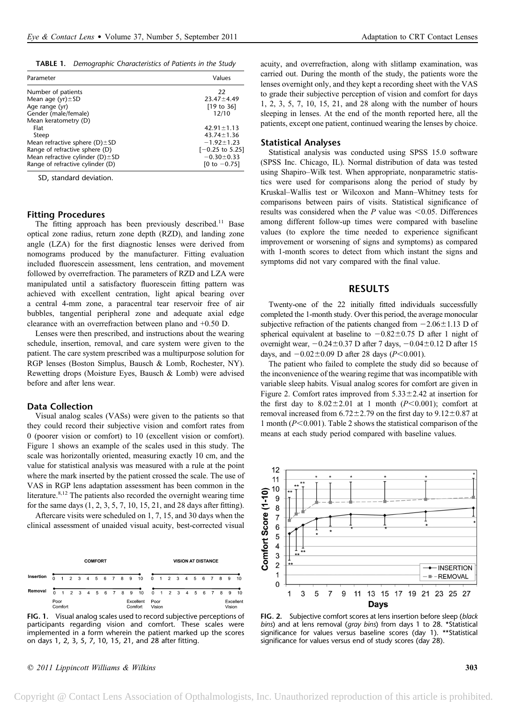TABLE 1. Demographic Characteristics of Patients in the Study

| Parameter                             | Values                     |
|---------------------------------------|----------------------------|
| Number of patients                    | 22                         |
| Mean age $(yr) \pm SD$                | $23.47 \pm 4.49$           |
| Age range (yr)                        | $[19 \text{ to } 36]$      |
| Gender (male/female)                  | 12/10                      |
| Mean keratometry (D)                  |                            |
| Flat                                  | $42.91 \pm 1.13$           |
| Steep                                 | $43.74 \pm 1.36$           |
| Mean refractive sphere $(D) \pm SD$   | $-1.92 \pm 1.23$           |
| Range of refractive sphere (D)        | $[-0.25 \text{ to } 5.25]$ |
| Mean refractive cylinder $(D) \pm SD$ | $-0.30 \pm 0.33$           |
| Range of refractive cylinder (D)      | $[0 \text{ to } -0.75]$    |

SD, standard deviation.

#### Fitting Procedures

The fitting approach has been previously described.<sup>11</sup> Base optical zone radius, return zone depth (RZD), and landing zone angle (LZA) for the first diagnostic lenses were derived from nomograms produced by the manufacturer. Fitting evaluation included fluorescein assessment, lens centration, and movement followed by overrefraction. The parameters of RZD and LZA were manipulated until a satisfactory fluorescein fitting pattern was achieved with excellent centration, light apical bearing over a central 4-mm zone, a paracentral tear reservoir free of air bubbles, tangential peripheral zone and adequate axial edge clearance with an overrefraction between plano and +0.50 D.

Lenses were then prescribed, and instructions about the wearing schedule, insertion, removal, and care system were given to the patient. The care system prescribed was a multipurpose solution for RGP lenses (Boston Simplus, Bausch & Lomb, Rochester, NY). Rewetting drops (Moisture Eyes, Bausch & Lomb) were advised before and after lens wear.

#### Data Collection

Visual analog scales (VASs) were given to the patients so that they could record their subjective vision and comfort rates from 0 (poorer vision or comfort) to 10 (excellent vision or comfort). Figure 1 shows an example of the scales used in this study. The scale was horizontally oriented, measuring exactly 10 cm, and the value for statistical analysis was measured with a rule at the point where the mark inserted by the patient crossed the scale. The use of VAS in RGP lens adaptation assessment has been common in the literature. $8,12$  The patients also recorded the overnight wearing time for the same days (1, 2, 3, 5, 7, 10, 15, 21, and 28 days after fitting).

Aftercare visits were scheduled on 1, 7, 15, and 30 days when the clinical assessment of unaided visual acuity, best-corrected visual



FIG. 1. Visual analog scales used to record subjective perceptions of participants regarding vision and comfort. These scales were implemented in a form wherein the patient marked up the scores on days 1, 2, 3, 5, 7, 10, 15, 21, and 28 after fitting.

acuity, and overrefraction, along with slitlamp examination, was carried out. During the month of the study, the patients wore the lenses overnight only, and they kept a recording sheet with the VAS to grade their subjective perception of vision and comfort for days 1, 2, 3, 5, 7, 10, 15, 21, and 28 along with the number of hours sleeping in lenses. At the end of the month reported here, all the patients, except one patient, continued wearing the lenses by choice.

#### Statistical Analyses

Statistical analysis was conducted using SPSS 15.0 software (SPSS Inc. Chicago, IL). Normal distribution of data was tested using Shapiro–Wilk test. When appropriate, nonparametric statistics were used for comparisons along the period of study by Kruskal–Wallis test or Wilcoxon and Mann–Whitney tests for comparisons between pairs of visits. Statistical significance of results was considered when the P value was  $\leq 0.05$ . Differences among different follow-up times were compared with baseline values (to explore the time needed to experience significant improvement or worsening of signs and symptoms) as compared with 1-month scores to detect from which instant the signs and symptoms did not vary compared with the final value.

# **RESULTS**

Twenty-one of the 22 initially fitted individuals successfully completed the 1-month study. Over this period, the average monocular subjective refraction of the patients changed from  $-2.06\pm1.13$  D of spherical equivalent at baseline to  $-0.82 \pm 0.75$  D after 1 night of overnight wear,  $-0.24\pm0.37$  D after 7 days,  $-0.04\pm0.12$  D after 15 days, and  $-0.02 \pm 0.09$  D after 28 days (P<0.001).

The patient who failed to complete the study did so because of the inconvenience of the wearing regime that was incompatible with variable sleep habits. Visual analog scores for comfort are given in Figure 2. Comfort rates improved from  $5.33 \pm 2.42$  at insertion for the first day to  $8.02 \pm 2.01$  at 1 month (P<0.001); comfort at removal increased from  $6.72\pm2.79$  on the first day to  $9.12\pm0.87$  at 1 month ( $P<0.001$ ). Table 2 shows the statistical comparison of the means at each study period compared with baseline values.



FIG. 2. Subjective comfort scores at lens insertion before sleep (black bins) and at lens removal (gray bins) from days 1 to 28. \*Statistical significance for values versus baseline scores (day 1). \*\*Statistical significance for values versus end of study scores (day 28).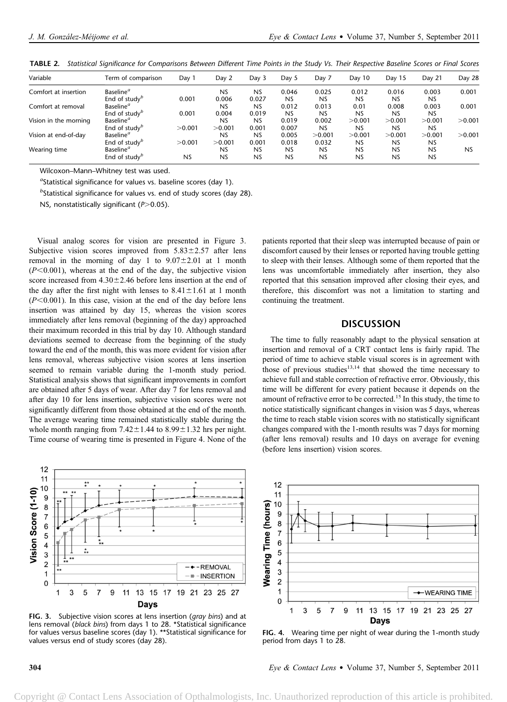| Variable              | Term of comparison                     | Dav 1     | Dav 2     | Day 3     | Day 5     | Dav 7     | Day 10    | Day 15    | Dav 21    | Day 28 |
|-----------------------|----------------------------------------|-----------|-----------|-----------|-----------|-----------|-----------|-----------|-----------|--------|
| Comfort at insertion  | Baseline <sup>a</sup>                  |           | <b>NS</b> | NS        | 0.046     | 0.025     | 0.012     | 0.016     | 0.003     | 0.001  |
|                       | End of study <sup>b</sup>              | 0.001     | 0.006     | 0.027     | NS        | NS        | NS        | <b>NS</b> | <b>NS</b> |        |
| Comfort at removal    | Baseline <sup>a</sup>                  |           | <b>NS</b> | <b>NS</b> | 0.012     | 0.013     | 0.01      | 0.008     | 0.003     | 0.001  |
|                       | End of study <sup><math>b</math></sup> | 0.001     | 0.004     | 0.019     | NS        | NS        | <b>NS</b> | NS        | <b>NS</b> |        |
| Vision in the morning | Baseline <sup><i>a</i></sup>           |           | NS        | <b>NS</b> | 0.019     | 0.002     | >0.001    | >0.001    | >0.001    | >0.001 |
|                       | End of study <sup>b</sup>              | >0.001    | >0.001    | 0.001     | 0.007     | NS        | <b>NS</b> | <b>NS</b> | NS        |        |
| Vision at end-of-day  | Baseline <sup>a</sup>                  |           | NS        | <b>NS</b> | 0.005     | >0.001    | >0.001    | >0.001    | >0.001    | >0.001 |
|                       | End of study <sup>b</sup>              | >0.001    | >0.001    | 0.001     | 0.018     | 0.032     | <b>NS</b> | NS.       | <b>NS</b> |        |
| Wearing time          | Baseline <sup><i>a</i></sup>           |           | NS        | NS        | NS        | NS        | NS        | NS        | NS        | NS     |
|                       | End of study <sup>b</sup>              | <b>NS</b> | <b>NS</b> | NS        | <b>NS</b> | <b>NS</b> | <b>NS</b> | <b>NS</b> | <b>NS</b> |        |

TABLE 2. Statistical Significance for Comparisons Between Different Time Points in the Study Vs. Their Respective Baseline Scores or Final Scores

Wilcoxon–Mann–Whitney test was used.

<sup>a</sup>Statistical significance for values vs. baseline scores (day 1).

 $b$ Statistical significance for values vs. end of study scores (day 28).

NS, nonstatistically significant  $(P>0.05)$ .

Visual analog scores for vision are presented in Figure 3. Subjective vision scores improved from  $5.83 \pm 2.57$  after lens removal in the morning of day 1 to  $9.07\pm2.01$  at 1 month  $(P<0.001)$ , whereas at the end of the day, the subjective vision score increased from  $4.30\pm2.46$  before lens insertion at the end of the day after the first night with lenses to  $8.41 \pm 1.61$  at 1 month  $(P<0.001)$ . In this case, vision at the end of the day before lens insertion was attained by day 15, whereas the vision scores immediately after lens removal (beginning of the day) approached their maximum recorded in this trial by day 10. Although standard deviations seemed to decrease from the beginning of the study toward the end of the month, this was more evident for vision after lens removal, whereas subjective vision scores at lens insertion seemed to remain variable during the 1-month study period. Statistical analysis shows that significant improvements in comfort are obtained after 5 days of wear. After day 7 for lens removal and after day 10 for lens insertion, subjective vision scores were not significantly different from those obtained at the end of the month. The average wearing time remained statistically stable during the whole month ranging from  $7.42 \pm 1.44$  to  $8.99 \pm 1.32$  hrs per night. Time course of wearing time is presented in Figure 4. None of the



FIG. 3. Subjective vision scores at lens insertion (gray bins) and at lens removal (black bins) from days 1 to 28. \*Statistical significance for values versus baseline scores (day 1). \*\*Statistical significance for values versus end of study scores (day 28).

patients reported that their sleep was interrupted because of pain or discomfort caused by their lenses or reported having trouble getting to sleep with their lenses. Although some of them reported that the lens was uncomfortable immediately after insertion, they also reported that this sensation improved after closing their eyes, and therefore, this discomfort was not a limitation to starting and continuing the treatment.

## **DISCUSSION**

The time to fully reasonably adapt to the physical sensation at insertion and removal of a CRT contact lens is fairly rapid. The period of time to achieve stable visual scores is in agreement with those of previous studies $13,14$  that showed the time necessary to achieve full and stable correction of refractive error. Obviously, this time will be different for every patient because it depends on the amount of refractive error to be corrected.<sup>15</sup> In this study, the time to notice statistically significant changes in vision was 5 days, whereas the time to reach stable vision scores with no statistically significant changes compared with the 1-month results was 7 days for morning (after lens removal) results and 10 days on average for evening (before lens insertion) vision scores.



FIG. 4. Wearing time per night of wear during the 1-month study period from days 1 to 28.

 $304$  Eye & Contact Lens • Volume 37, Number 5, September 2011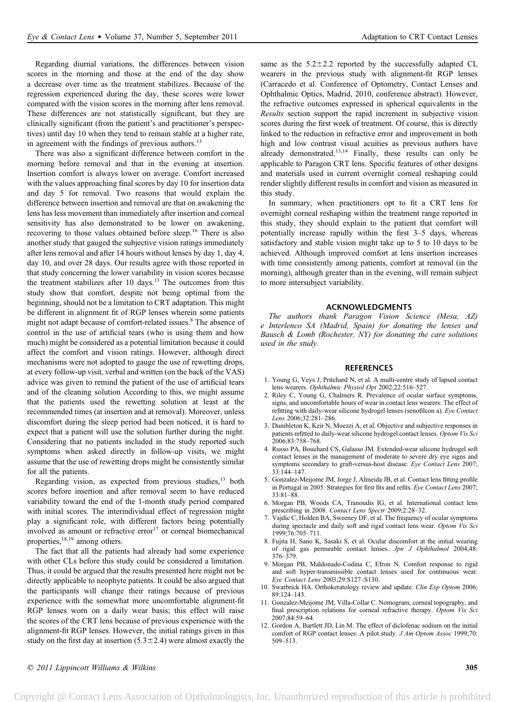Regarding diurnal variations, the differences between vision scores in the morning and those at the end of the day show a decrease over time as the treatment stabilizes. Because of the regression experienced during the day, these scores were lower compared with the vision scores in the morning after lens removal. These differences are not statistically significant, but they are clinically significant (from the patient's and practitioner's perspectives) until day 10 when they tend to remain stable at a higher rate, in agreement with the findings of previous authors.<sup>13</sup>

There was also a significant difference between comfort in the morning before removal and that in the evening at insertion. Insertion comfort is always lower on average. Comfort increased with the values approaching final scores by day 10 for insertion data and day 5 for removal. Two reasons that would explain the difference between insertion and removal are that on awakening the lens has less movement than immediately after insertion and corneal sensitivity has also demonstrated to be lower on awakening, recovering to those values obtained before sleep.<sup>16</sup> There is also another study that gauged the subjective vision ratings immediately after lens removal and after 14 hours without lenses by day 1, day 4, day 10, and over 28 days. Our results agree with those reported in that study concerning the lower variability in vision scores because the treatment stabilizes after  $10 \text{ days}$ .<sup>13</sup> The outcomes from this study show that comfort, despite not being optimal from the beginning, should not be a limitation to CRT adaptation. This might be different in alignment fit of RGP lenses wherein some patients might not adapt because of comfort-related issues.<sup>8</sup> The absence of control in the use of artificial tears (who is using them and how much) might be considered as a potential limitation because it could affect the comfort and vision ratings. However, although direct mechanisms were not adopted to gauge the use of rewetting drops, at every follow-up visit, verbal and written (on the back of the VAS) advice was given to remind the patient of the use of artificial tears and of the cleaning solution According to this, we might assume that the patients used the rewetting solution at least at the recommended times (at insertion and at removal). Moreover, unless discomfort during the sleep period had been noticed, it is hard to expect that a patient will use the solution further during the night. Considering that no patients included in the study reported such symptoms when asked directly in follow-up visits, we might assume that the use of rewetting drops might be consistently similar for all the patients.

Regarding vision, as expected from previous studies, $^{13}$  both scores before insertion and after removal seem to have reduced variability toward the end of the 1-month study period compared with initial scores. The interindividual effect of regression might play a significant role, with different factors being potentially involved as amount or refractive error $17$  or corneal biomechanical properties,  $^{18,19}$  among others.

The fact that all the patients had already had some experience with other CLs before this study could be considered a limitation. Thus, it could be argued that the results presented here might not be directly applicable to neophyte patients. It could be also argued that the participants will change their ratings because of previous experience with the somewhat more uncomfortable alignment-fit RGP lenses worn on a daily wear basis; this effect will raise the scores of the CRT lens because of previous experience with the alignment-fit RGP lenses. However, the initial ratings given in this study on the first day at insertion  $(5.3 \pm 2.4)$  were almost exactly the same as the  $5.2 \pm 2.2$  reported by the successfully adapted CL wearers in the previous study with alignment-fit RGP lenses (Carracedo et al. Conference of Optometry, Contact Lenses and Ophthalmic Optics, Madrid, 2010, conference abstract). However, the refractive outcomes expressed in spherical equivalents in the Results section support the rapid increment in subjective vision scores during the first week of treatment. Of course, this is directly linked to the reduction in refractive error and improvement in both high and low contrast visual acuities as previous authors have already demonstrated.<sup>13,14</sup> Finally, these results can only be applicable to Paragon CRT lens. Specific features of other designs and materials used in current overnight corneal reshaping could render slightly different results in comfort and vision as measured in this study.

In summary, when practitioners opt to fit a CRT lens for overnight corneal reshaping within the treatment range reported in this study, they should explain to the patient that comfort will potentially increase rapidly within the first 3–5 days, whereas satisfactory and stable vision might take up to 5 to 10 days to be achieved. Although improved comfort at lens insertion increases with time consistently among patients, comfort at removal (in the morning), although greater than in the evening, will remain subject to more intersubject variability.

#### ACKNOWLEDGMENTS

The authors thank Paragon Vision Science (Mesa, AZ) e Interlenco SA (Madrid, Spain) for donating the lenses and Bausch & Lomb (Rochester, NY) for donating the care solutions used in the study.

### **REFERENCES**

- 1. Young G, Veys J, Pritchard N, et al. A multi-centre study of lapsed contact lens wearers. Ophthalmic Physiol Opt 2002;22:516-527.
- 2. Riley C, Young G, Chalmers R. Prevalence of ocular surface symptoms, signs, and uncomfortable hours of wear in contact lens wearers: The effect of refitting with daily-wear silicone hydrogel lenses (senofilcon a). Eye Contact Lens 2006;32:281–286.
- 3. Dumbleton K, Keir N, Moezzi A, et al. Objective and subjective responses in patients refitted to daily-wear silicone hydrogel contact lenses. Optom Vis Sci 2006;83:758–768.
- 4. Russo PA, Bouchard CS, Galasso JM. Extended-wear silicone hydrogel soft contact lenses in the management of moderate to severe dry eye signs and symptoms secondary to graft-versus-host disease. Eye Contact Lens 2007; 33:144–147.
- 5. Gonzalez-Meijome JM, Jorge J, Almeida JB, et al. Contact lens fitting profile in Portugal in 2005: Strategies for first fits and refits. Eye Contact Lens 2007; 33:81–88.
- 6. Morgan PB, Woods CA, Tranoudis IG, et al. International contact lens prescribing in 2008. Contact Lens Spectr 2009;2:28–32.
- 7. Vajdic C, Holden BA, Sweeney DF, et al. The frequency of ocular symptoms during spectacle and daily soft and rigid contact lens wear. Optom Vis Sci 1999;76:705–711.
- 8. Fujita H, Sano K, Sasaki S, et al. Ocular discomfort at the initial wearing of rigid gas permeable contact lenses. Jpn J Ophthalmol 2004;48: 376–379.
- 9. Morgan PB, Maldonado-Codina C, Efron N. Comfort response to rigid and soft hyper-transmissible contact lenses used for continuous wear. Eye Contact Lens 2003;29:S127–S130.
- 10. Swarbrick HA. Orthokeratology review and update. Clin Exp Optom 2006; 89:124–143.
- 11. Gonzalez-Meijome JM, Villa-Collar C. Nomogram, corneal topography, and final prescription relations for corneal refractive therapy. Optom Vis Sci 2007;84:59–64.
- 12. Gordon A, Bartlett JD, Lin M. The effect of diclofenac sodium on the initial comfort of RGP contact lenses: A pilot study. *J Am Optom Assoc* 1999;70: 509–513.